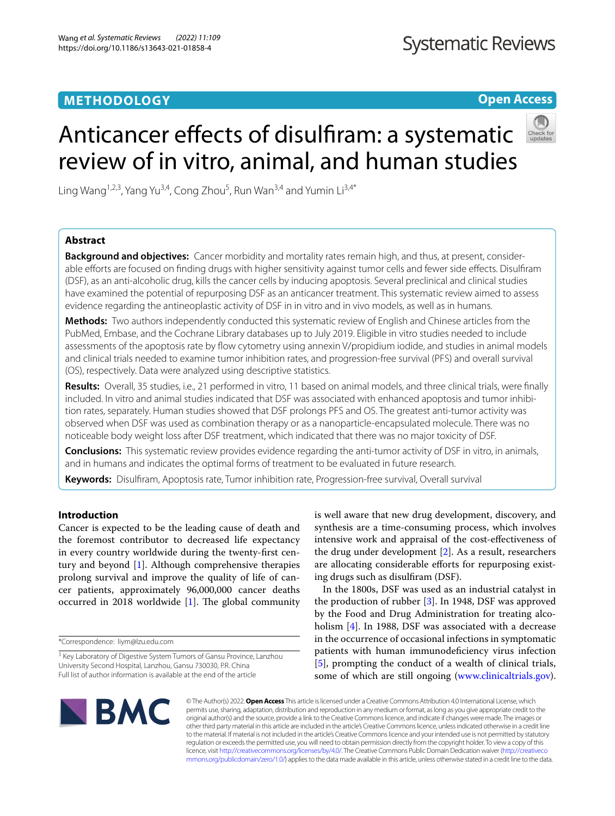# **METHODOLOGY**

**Open Access**



# Anticancer effects of disulfiram: a systematic review of in vitro, animal, and human studies

Ling Wang<sup>1,2,3</sup>, Yang Yu<sup>3,4</sup>, Cong Zhou<sup>5</sup>, Run Wan<sup>3,4</sup> and Yumin Li<sup>3,4\*</sup>

# **Abstract**

**Background and objectives:** Cancer morbidity and mortality rates remain high, and thus, at present, considerable eforts are focused on fnding drugs with higher sensitivity against tumor cells and fewer side efects. Disulfram (DSF), as an anti-alcoholic drug, kills the cancer cells by inducing apoptosis. Several preclinical and clinical studies have examined the potential of repurposing DSF as an anticancer treatment. This systematic review aimed to assess evidence regarding the antineoplastic activity of DSF in in vitro and in vivo models, as well as in humans.

**Methods:** Two authors independently conducted this systematic review of English and Chinese articles from the PubMed, Embase, and the Cochrane Library databases up to July 2019. Eligible in vitro studies needed to include assessments of the apoptosis rate by fow cytometry using annexin V/propidium iodide, and studies in animal models and clinical trials needed to examine tumor inhibition rates, and progression-free survival (PFS) and overall survival (OS), respectively. Data were analyzed using descriptive statistics.

**Results:** Overall, 35 studies, i.e., 21 performed in vitro, 11 based on animal models, and three clinical trials, were fnally included. In vitro and animal studies indicated that DSF was associated with enhanced apoptosis and tumor inhibition rates, separately. Human studies showed that DSF prolongs PFS and OS. The greatest anti-tumor activity was observed when DSF was used as combination therapy or as a nanoparticle-encapsulated molecule. There was no noticeable body weight loss after DSF treatment, which indicated that there was no major toxicity of DSF.

**Conclusions:** This systematic review provides evidence regarding the anti-tumor activity of DSF in vitro, in animals, and in humans and indicates the optimal forms of treatment to be evaluated in future research.

**Keywords:** Disulfram, Apoptosis rate, Tumor inhibition rate, Progression-free survival, Overall survival

# **Introduction**

Cancer is expected to be the leading cause of death and the foremost contributor to decreased life expectancy in every country worldwide during the twenty-frst century and beyond [\[1](#page-11-0)]. Although comprehensive therapies prolong survival and improve the quality of life of cancer patients, approximately 96,000,000 cancer deaths occurred in 2018 worldwide  $[1]$  $[1]$ . The global community

is well aware that new drug development, discovery, and synthesis are a time-consuming process, which involves intensive work and appraisal of the cost-efectiveness of the drug under development [\[2](#page-11-1)]. As a result, researchers are allocating considerable efforts for repurposing existing drugs such as disulfram (DSF).

In the 1800s, DSF was used as an industrial catalyst in the production of rubber [\[3](#page-11-2)]. In 1948, DSF was approved by the Food and Drug Administration for treating alcoholism [[4\]](#page-11-3). In 1988, DSF was associated with a decrease in the occurrence of occasional infections in symptomatic patients with human immunodeficiency virus infection [[5\]](#page-11-4), prompting the conduct of a wealth of clinical trials, some of which are still ongoing [\(www.clinicaltrials.gov](http://www.clinicaltrials.gov)).



© The Author(s) 2022. **Open Access** This article is licensed under a Creative Commons Attribution 4.0 International License, which permits use, sharing, adaptation, distribution and reproduction in any medium or format, as long as you give appropriate credit to the original author(s) and the source, provide a link to the Creative Commons licence, and indicate if changes were made. The images or other third party material in this article are included in the article's Creative Commons licence, unless indicated otherwise in a credit line to the material. If material is not included in the article's Creative Commons licence and your intended use is not permitted by statutory regulation or exceeds the permitted use, you will need to obtain permission directly from the copyright holder. To view a copy of this licence, visit [http://creativecommons.org/licenses/by/4.0/.](http://creativecommons.org/licenses/by/4.0/) The Creative Commons Public Domain Dedication waiver ([http://creativeco](http://creativecommons.org/publicdomain/zero/1.0/) [mmons.org/publicdomain/zero/1.0/](http://creativecommons.org/publicdomain/zero/1.0/)) applies to the data made available in this article, unless otherwise stated in a credit line to the data.

<sup>\*</sup>Correspondence: liym@lzu.edu.com

<sup>&</sup>lt;sup>3</sup> Key Laboratory of Digestive System Tumors of Gansu Province, Lanzhou University Second Hospital, Lanzhou, Gansu 730030, P.R. China Full list of author information is available at the end of the article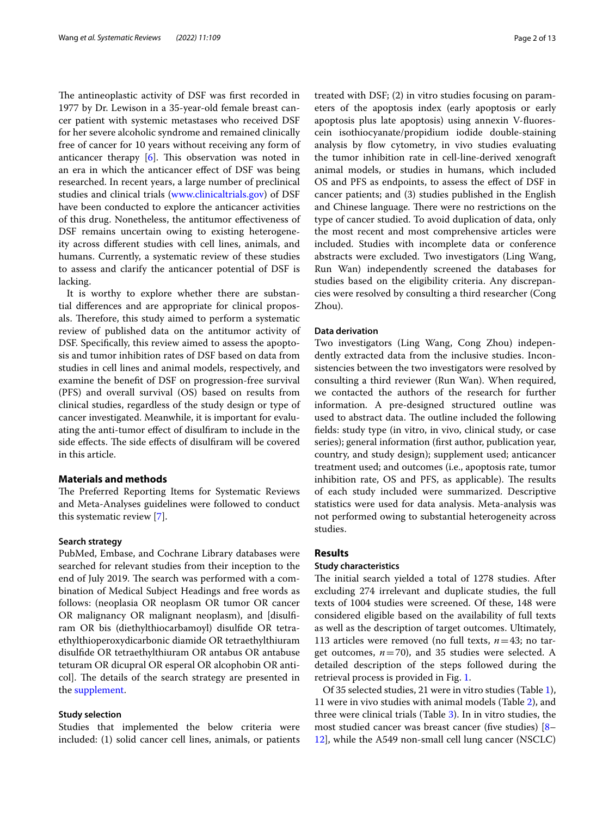The antineoplastic activity of DSF was first recorded in 1977 by Dr. Lewison in a 35-year-old female breast cancer patient with systemic metastases who received DSF for her severe alcoholic syndrome and remained clinically free of cancer for 10 years without receiving any form of anticancer therapy  $[6]$  $[6]$ . This observation was noted in an era in which the anticancer efect of DSF was being researched. In recent years, a large number of preclinical studies and clinical trials ([www.clinicaltrials.gov\)](http://www.clinicaltrials.gov) of DSF have been conducted to explore the anticancer activities of this drug. Nonetheless, the antitumor efectiveness of DSF remains uncertain owing to existing heterogeneity across diferent studies with cell lines, animals, and humans. Currently, a systematic review of these studies to assess and clarify the anticancer potential of DSF is lacking.

It is worthy to explore whether there are substantial diferences and are appropriate for clinical proposals. Therefore, this study aimed to perform a systematic review of published data on the antitumor activity of DSF. Specifcally, this review aimed to assess the apoptosis and tumor inhibition rates of DSF based on data from studies in cell lines and animal models, respectively, and examine the beneft of DSF on progression-free survival (PFS) and overall survival (OS) based on results from clinical studies, regardless of the study design or type of cancer investigated. Meanwhile, it is important for evaluating the anti-tumor efect of disulfram to include in the side effects. The side effects of disulfiram will be covered in this article.

# **Materials and methods**

The Preferred Reporting Items for Systematic Reviews and Meta-Analyses guidelines were followed to conduct this systematic review [[7\]](#page-11-6).

### **Search strategy**

PubMed, Embase, and Cochrane Library databases were searched for relevant studies from their inception to the end of July 2019. The search was performed with a combination of Medical Subject Headings and free words as follows: (neoplasia OR neoplasm OR tumor OR cancer OR malignancy OR malignant neoplasm), and [disulfram OR bis (diethylthiocarbamoyl) disulfde OR tetraethylthioperoxydicarbonic diamide OR tetraethylthiuram disulfde OR tetraethylthiuram OR antabus OR antabuse teturam OR dicupral OR esperal OR alcophobin OR anticol]. The details of the search strategy are presented in the [supplement](#page-11-7).

#### **Study selection**

Studies that implemented the below criteria were included: (1) solid cancer cell lines, animals, or patients treated with DSF; (2) in vitro studies focusing on parameters of the apoptosis index (early apoptosis or early apoptosis plus late apoptosis) using annexin V-fuorescein isothiocyanate/propidium iodide double-staining analysis by flow cytometry, in vivo studies evaluating the tumor inhibition rate in cell-line-derived xenograft animal models, or studies in humans, which included OS and PFS as endpoints, to assess the efect of DSF in cancer patients; and (3) studies published in the English and Chinese language. There were no restrictions on the type of cancer studied. To avoid duplication of data, only the most recent and most comprehensive articles were included. Studies with incomplete data or conference abstracts were excluded. Two investigators (Ling Wang, Run Wan) independently screened the databases for studies based on the eligibility criteria. Any discrepancies were resolved by consulting a third researcher (Cong Zhou).

#### **Data derivation**

Two investigators (Ling Wang, Cong Zhou) independently extracted data from the inclusive studies. Inconsistencies between the two investigators were resolved by consulting a third reviewer (Run Wan). When required, we contacted the authors of the research for further information. A pre-designed structured outline was used to abstract data. The outline included the following felds: study type (in vitro, in vivo, clinical study, or case series); general information (frst author, publication year, country, and study design); supplement used; anticancer treatment used; and outcomes (i.e., apoptosis rate, tumor inhibition rate, OS and PFS, as applicable). The results of each study included were summarized. Descriptive statistics were used for data analysis. Meta-analysis was not performed owing to substantial heterogeneity across studies.

#### **Results**

#### **Study characteristics**

The initial search yielded a total of 1278 studies. After excluding 274 irrelevant and duplicate studies, the full texts of 1004 studies were screened. Of these, 148 were considered eligible based on the availability of full texts as well as the description of target outcomes. Ultimately, 113 articles were removed (no full texts,  $n=43$ ; no target outcomes,  $n=70$ ), and 35 studies were selected. A detailed description of the steps followed during the retrieval process is provided in Fig. [1](#page-2-0).

Of 35 selected studies, 21 were in vitro studies (Table [1](#page-3-0)), 11 were in vivo studies with animal models (Table [2\)](#page-6-0), and three were clinical trials (Table [3](#page-9-0)). In in vitro studies, the most studied cancer was breast cancer (five studies) [[8–](#page-11-8) [12\]](#page-11-9), while the A549 non-small cell lung cancer (NSCLC)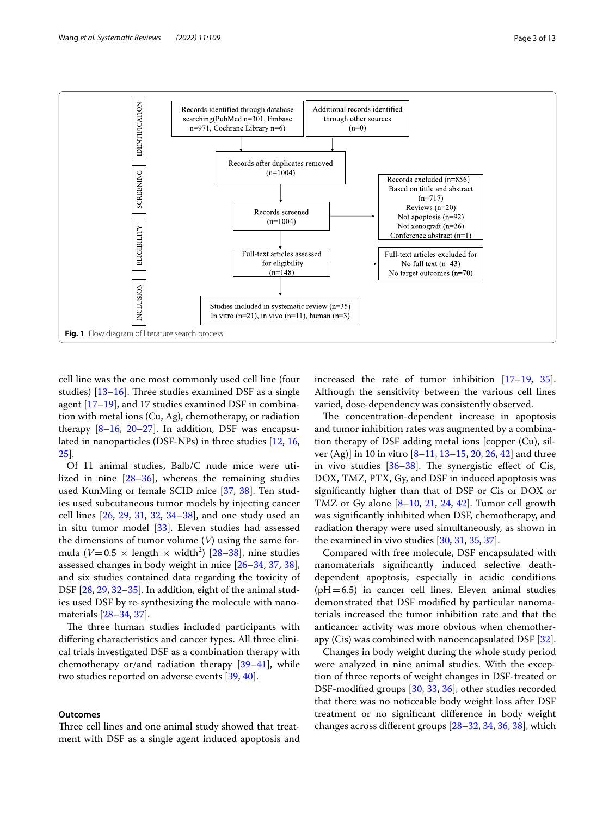

<span id="page-2-0"></span>cell line was the one most commonly used cell line (four studies)  $[13–16]$  $[13–16]$ . Three studies examined DSF as a single agent [[17](#page-12-1)[–19](#page-12-2)], and 17 studies examined DSF in combination with metal ions (Cu, Ag), chemotherapy, or radiation therapy  $[8-16, 20-27]$  $[8-16, 20-27]$  $[8-16, 20-27]$  $[8-16, 20-27]$ . In addition, DSF was encapsulated in nanoparticles (DSF-NPs) in three studies [[12,](#page-11-9) [16](#page-12-0), [25\]](#page-12-5).

Of 11 animal studies, Balb/C nude mice were utilized in nine [\[28](#page-12-6)[–36](#page-12-7)], whereas the remaining studies used KunMing or female SCID mice [\[37](#page-12-8), [38\]](#page-12-9). Ten studies used subcutaneous tumor models by injecting cancer cell lines [\[26](#page-12-10), [29,](#page-12-11) [31](#page-12-12), [32,](#page-12-13) [34](#page-12-14)[–38\]](#page-12-9), and one study used an in situ tumor model [\[33](#page-12-15)]. Eleven studies had assessed the dimensions of tumor volume (*V*) using the same formula ( $V=0.5 \times$  length  $\times$  width<sup>2</sup>) [[28–](#page-12-6)[38](#page-12-9)], nine studies assessed changes in body weight in mice [[26–](#page-12-10)[34](#page-12-14), [37](#page-12-8), [38](#page-12-9)], and six studies contained data regarding the toxicity of DSF [[28](#page-12-6), [29,](#page-12-11) [32](#page-12-13)-[35\]](#page-12-16). In addition, eight of the animal studies used DSF by re-synthesizing the molecule with nanomaterials [[28–](#page-12-6)[34](#page-12-14), [37\]](#page-12-8).

The three human studies included participants with difering characteristics and cancer types. All three clinical trials investigated DSF as a combination therapy with chemotherapy or/and radiation therapy [[39–](#page-12-17)[41](#page-12-18)], while two studies reported on adverse events [[39,](#page-12-17) [40](#page-12-19)].

#### **Outcomes**

Three cell lines and one animal study showed that treatment with DSF as a single agent induced apoptosis and increased the rate of tumor inhibition [[17–](#page-12-1)[19,](#page-12-2) [35](#page-12-16)]. Although the sensitivity between the various cell lines varied, dose-dependency was consistently observed.

The concentration-dependent increase in apoptosis and tumor inhibition rates was augmented by a combination therapy of DSF adding metal ions [copper (Cu), silver (Ag)] in 10 in vitro [[8–](#page-11-8)[11](#page-11-11), [13–](#page-11-10)[15](#page-11-12), [20,](#page-12-3) [26](#page-12-10), [42](#page-12-20)] and three in vivo studies  $[36-38]$  $[36-38]$  $[36-38]$ . The synergistic effect of Cis, DOX, TMZ, PTX, Gy, and DSF in induced apoptosis was signifcantly higher than that of DSF or Cis or DOX or TMZ or Gy alone  $[8-10, 21, 24, 42]$  $[8-10, 21, 24, 42]$  $[8-10, 21, 24, 42]$  $[8-10, 21, 24, 42]$  $[8-10, 21, 24, 42]$  $[8-10, 21, 24, 42]$  $[8-10, 21, 24, 42]$  $[8-10, 21, 24, 42]$  $[8-10, 21, 24, 42]$ . Tumor cell growth was signifcantly inhibited when DSF, chemotherapy, and radiation therapy were used simultaneously, as shown in the examined in vivo studies [[30,](#page-12-23) [31](#page-12-12), [35](#page-12-16), [37\]](#page-12-8).

Compared with free molecule, DSF encapsulated with nanomaterials signifcantly induced selective deathdependent apoptosis, especially in acidic conditions  $(pH=6.5)$  in cancer cell lines. Eleven animal studies demonstrated that DSF modifed by particular nanomaterials increased the tumor inhibition rate and that the anticancer activity was more obvious when chemotherapy (Cis) was combined with nanoencapsulated DSF [\[32](#page-12-13)].

Changes in body weight during the whole study period were analyzed in nine animal studies. With the exception of three reports of weight changes in DSF-treated or DSF-modifed groups [[30,](#page-12-23) [33,](#page-12-15) [36](#page-12-7)], other studies recorded that there was no noticeable body weight loss after DSF treatment or no signifcant diference in body weight changes across diferent groups [[28–](#page-12-6)[32](#page-12-13), [34,](#page-12-14) [36,](#page-12-7) [38](#page-12-9)], which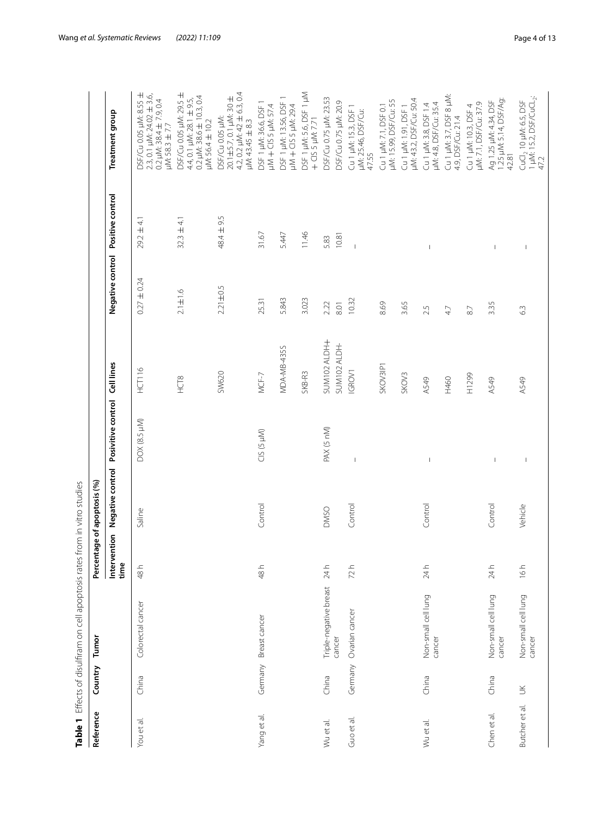<span id="page-3-0"></span>

| )<br>D                     |
|----------------------------|
|                            |
|                            |
| )<br>)                     |
|                            |
|                            |
|                            |
|                            |
| ;<br>;<br>;                |
| -<br>-<br>-<br>-<br>;<br>. |
|                            |
| $\frac{1}{2}$              |
| )りりり                       |
|                            |
|                            |
|                            |
|                            |
|                            |
|                            |

| Reference<br>Table 1 | Country | Effects of disulfiram on cell apoptosis rates<br>Tumor | Percent              | from in vitro studies<br>tage of apoptosis (%) |                          |                   |                                   |                          |                                                                                                                     |
|----------------------|---------|--------------------------------------------------------|----------------------|------------------------------------------------|--------------------------|-------------------|-----------------------------------|--------------------------|---------------------------------------------------------------------------------------------------------------------|
|                      |         |                                                        | Intervention<br>time | Negative control                               | Posivitive control       | Cell lines        | Negative control Positive control |                          | <b>Treatment group</b>                                                                                              |
| You et al.           | China   | Colorectal cancer                                      | 48 h                 | Saline                                         | DOX (8.5 µM)             | HCT116            | $0.27 \pm 0.24$                   | $29.2 \pm 4.1$           | DSF/Cu 0.05 µM: 8.55 ±<br>$2.3, 0.1 \mu M: 24.02 \pm 3.6$<br>0.2 µM: 38.4 $\pm$ 7.9, 0.4<br>$\mu$ M: 58.3 $\pm$ 7.7 |
|                      |         |                                                        |                      |                                                |                          | HCT8              | $2.1 \pm 1.6$                     | $32.3 \pm 4.1$           | DSF/Cu 0.05 µM: 29.5 ±<br>0.2 $\mu$ M: 38.6 $\pm$ 10.3, 0.4<br>4.4, 0.1 µM: 28.1 ± 9.5,<br>µM:56.4 ± 10.2           |
|                      |         |                                                        |                      |                                                |                          | SW620             | $2.21 \pm 0.5$                    | 48.4 ± 9.5               | 4.2, 0.2 $\mu$ M: 42 $\pm$ 6.3, 0.4<br>20.1±5.7, 0.1 µM: 30 ±<br>DSF/Cu 0.05 µM:<br>$~\mu$ M: 43.45 $\pm$ 8.3       |
| Yang et al.          | Germany | Breast cancer                                          | 48 h                 | Control                                        | CIS (5 µM)               | $MCF-7$           | 25.31                             | 31.67                    | DSF 1 µM: 36.6, DSF 1<br>µM + CIS 5 µM: 57.4                                                                        |
|                      |         |                                                        |                      |                                                |                          | MDA-MB-435S       | 5.843                             | 5.447                    | DSF1 µM: 13.56, DSF1<br>µM + CIS 5 µM: 29.4                                                                         |
|                      |         |                                                        |                      |                                                |                          | SKB-R3            | 3.023                             | 11.46                    | DSF 1 µM: 5.6, DSF 1 µM<br>+ CIS 5 µM: 7.71                                                                         |
| Wu et al.            | China   | Triple-negative breast                                 | 24 h                 | <b>DMSO</b>                                    | PAX (5 nM)               | SUM102 ALDH+      | 2.22                              | 5.83                     | DSF/Cu 0.75 µM: 23.53                                                                                               |
|                      |         | cancer                                                 |                      |                                                |                          | SUM102 ALDH-      | 8.01                              | 10.81                    | DSF/Cu 0.75 µM: 20.9                                                                                                |
| Guo et al            | Germany | Ovarian cancer                                         | 72h                  | Control                                        | $\overline{\phantom{a}}$ | IGROV1            | 10.32                             | $\overline{1}$           | Cu 1 µM: 15.3, DSF 1<br>µM: 25.46, DSF/Cu:<br>47.55                                                                 |
|                      |         |                                                        |                      |                                                |                          | SKOV3IP1          | 8.69                              |                          | uM: 15.99, DSF/Cu: 55<br>Cu 1 µM: 7.1, DSF 0.1                                                                      |
|                      |         |                                                        |                      |                                                |                          | SKOV <sub>3</sub> | 3.65                              |                          | µM: 43.2, DSF/Cu: 50.4<br>Cu 1 µM: 1.91, DSF 1                                                                      |
| Wu et al.            | China   | Non-small cell lung<br>cancer                          | 24 h                 | Control                                        | $\overline{\phantom{a}}$ | A549              | 2.5                               |                          | Cu 1 µM: 3.8, DSF 1.4<br>µM: 4.8, DSF/Cu: 35.4                                                                      |
|                      |         |                                                        |                      |                                                |                          | H460              | 47                                |                          | Cu 1 µM: 3.7, DSF 8 µM:<br>4.9, DSF/Cu: 21.4                                                                        |
|                      |         |                                                        |                      |                                                |                          | H1299             | $87$                              |                          | µM: 7.1, DSF/Cu: 37.9<br>Cu 1 µM: 10.3, DSF 4                                                                       |
| Chen et al.          | China   | Non-small cell lung<br>cancer                          | 24 h                 | Control                                        | $\mathsf I$              | A549              | 3.35                              | $\overline{\phantom{a}}$ | Ag 1.25 µM: 4.34, DSF<br>1.25 µM: 5.14, DSF/Ag:<br>42.81                                                            |
| Butcher et al.       | $\leq$  | Non-small cell lung<br>cancer                          | 16h                  | Vehicle                                        | $\mid$                   | A549              | $63$                              | $\overline{\phantom{a}}$ | CuCl <sub>2</sub> 10 µM: 6.5, DSF<br>1 µM: 15.2, DSF/CuCl <sub>-2</sub> :<br>47.2                                   |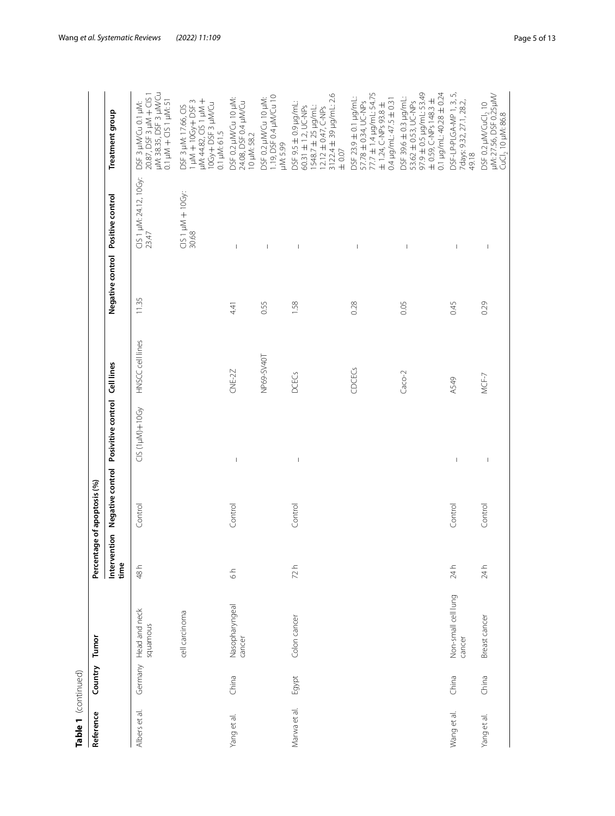| ٠ |  |
|---|--|

| Table 1 (continued) |         |                               |               |                             |                                                             |                  |                                   |                                 |                                                                                                                                                    |
|---------------------|---------|-------------------------------|---------------|-----------------------------|-------------------------------------------------------------|------------------|-----------------------------------|---------------------------------|----------------------------------------------------------------------------------------------------------------------------------------------------|
| Reference           | Country | Tumor                         |               | Percentage of apoptosis (%) |                                                             |                  |                                   |                                 |                                                                                                                                                    |
|                     |         |                               | time          |                             | Intervention Negative control Posivitive control Cell lines |                  | Negative control Positive control |                                 | <b>Treatment</b> group                                                                                                                             |
| Albers et al.       | Germany | Head and neck<br>squamous     | 48 h          | Control                     | CIS (1µM)+10Gy                                              | HNSCC cell lines | 11.35                             | CIS 1 µM: 24.12, 10Gy:<br>23.47 | µM: 38.35, DSF 3 µM/Cu<br>20.87, DSF 3 µM + CIS 1<br>$0.1 \mu M + C1S1 \mu M: 51$<br>DSF 3 µM/Cu 0.1 µM:                                           |
|                     |         | cell carcinoma                |               |                             |                                                             |                  |                                   | $C151 \mu M + 10Gy$ :<br>30.68  | JM: 44.82, CIS 1 µM +<br>$1 \mu M + 10Gy + DSF$ 3<br>10Gy+DSF3 µM/Cu<br>0.1 µM: 61.5<br>DSF 3 µM: 17.66, CIS                                       |
| Yang et al.         | China   | Nasopharyngeal<br>cancer      | $\frac{1}{6}$ | Control                     | $\mathsf I$                                                 | CNE-2Z           | 4.41                              | $\overline{1}$                  | DSF 0.2 µM/Cu 10 µM:<br>24.08, DSF 0.4 µM/Cu<br>10 µM: 58.2                                                                                        |
|                     |         |                               |               |                             |                                                             | NP69-SV40T       | 0.55                              | $\begin{array}{c} \end{array}$  | 1.19, DSF 0.4 µM/Cu 10<br>DSF 0.2 µM/Cu 10 µM:<br>µM: 5.99                                                                                         |
| Marwa et al.        | Egypt   | Colon cancer                  | 72h           | Control                     | $\mathsf I$                                                 | <b>DCECS</b>     | 1.58                              | $\mathsf I$                     | 3122.4 ± 39 µg/mL: 2.6<br>DSF 9.5 ± 0.9 µg/mL:<br>60.31 ± 1.2, UC-NPs<br>$1548.7 \pm 25$ µg/mL:<br>12.12 ± 0.47, C-NPs<br>$\pm$ 0.07               |
|                     |         |                               |               |                             |                                                             | CDCECS           | 0.28                              | $\begin{array}{c} \end{array}$  | 77.7 ± 1.4 µg/mL: 54.75<br>DSF 23.9 ± 0.1 µg/mL:<br>$0.4 \mu g$ /ml: $47.5 \pm 0.31$<br>57.78 ± 0.34, UC-NPs<br>$\pm$ 1.24, C-NPs 93.8 $\pm$       |
|                     |         |                               |               |                             |                                                             | $Caco-2$         | 0.05                              | $\mathsf I$                     | $97.9 \pm 0.5$ µg/mL: 53.49<br>$0.1 \mu g/m$ L: 40.28 $\pm$ 0.24<br>DSF 39.6 ± 0.3 µg/mL:<br>$\pm$ 0.59, C-NPs 148.3 $\pm$<br>53.62 ± 0.53, UC-NPs |
| Wang et al.         | China   | Non-small cell lung<br>cancer | 24h           | Control                     | $\mathord{\text{\rm I}}$                                    | A549             | 0.45                              | $\overline{\phantom{a}}$        | DSF-LP-PLGA-MP 1, 3, 5,<br>7days: 9.32, 27.1, 28.2,<br>49.18                                                                                       |
| Yang et al.         | China   | Breast cancer                 | 24 h          | Control                     | $\mathsf I$                                                 | $MCF-7$          | 0.29                              | $\,$ $\,$                       | DSF 0.2 μM/CuCl <sub>2</sub> 10<br>μM: 27.56, DSF 0.25μM/<br>CuCl <sub>2</sub> 10 µM: 86.8                                                         |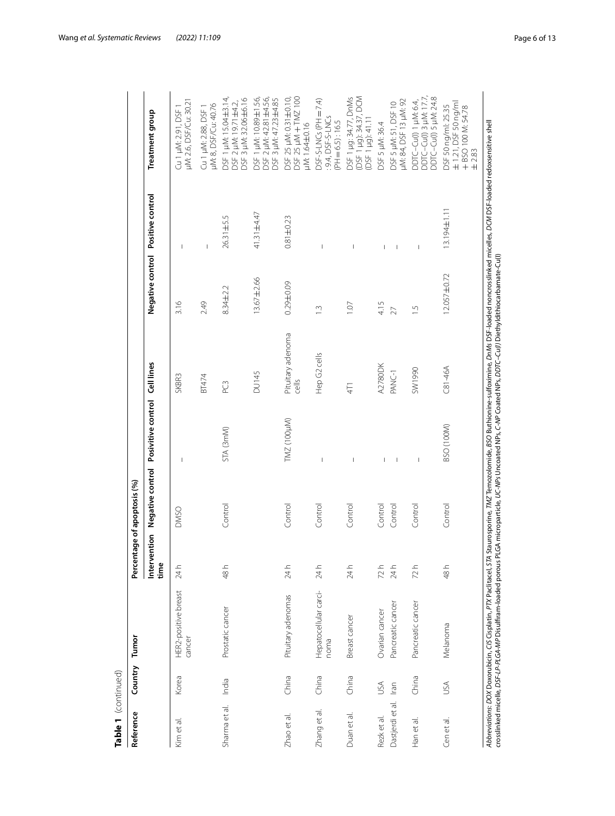| Table 1 (continued) |         |                                                                                                                                                                                                                                                                                                                                                                           |                      |                       |                                                |                            |                                   |                          |                                                                                 |
|---------------------|---------|---------------------------------------------------------------------------------------------------------------------------------------------------------------------------------------------------------------------------------------------------------------------------------------------------------------------------------------------------------------------------|----------------------|-----------------------|------------------------------------------------|----------------------------|-----------------------------------|--------------------------|---------------------------------------------------------------------------------|
| Reference           | Country | Tumor                                                                                                                                                                                                                                                                                                                                                                     | Percent              | tage of apoptosis (%) |                                                |                            |                                   |                          |                                                                                 |
|                     |         |                                                                                                                                                                                                                                                                                                                                                                           | Intervention<br>time |                       | Negative control Posivitive control Cell lines |                            | Negative control Positive control |                          | Treatment group                                                                 |
| Kim et al.          | Korea   | HER2-positive breast<br>cancer                                                                                                                                                                                                                                                                                                                                            | 24h                  | <b>DMSO</b>           | $\overline{1}$                                 | SKBR <sub>3</sub>          | 3.16                              | $\overline{1}$           | µM: 2.6, DSF/Cu: 30.21<br>Cu 1 uM: 2.91, DSF                                    |
|                     |         |                                                                                                                                                                                                                                                                                                                                                                           |                      |                       |                                                | BT474                      | 2.49                              | I                        | µM: 8, DSF/Cu: 40.76<br>Cu 1 µM: 2.88, DSF                                      |
| Sharma et al.       | India   | Prostatic cancer                                                                                                                                                                                                                                                                                                                                                          | 48 h                 | Control               | STA (3mM)                                      | PC <sub>3</sub>            | 8.34±2.2                          | 26.31±5.5                | DSF 1 µM: 15.04±3.14<br>DSF 3 µM: 32.06±6.16<br>DSF 2 µM: 19.71±4.2,            |
|                     |         |                                                                                                                                                                                                                                                                                                                                                                           |                      |                       |                                                | <b>DU145</b>               | 13.67±2.66                        | 41.31±4.47               | DSF1 µM: 10.89±1.56,<br>DSF 2 µM: 42.81±4.56,<br>DSF 3 µM: 47.23±4.85           |
| Zhao et al.         | China   | Pituitary adenomas                                                                                                                                                                                                                                                                                                                                                        | 24h                  | Control               | TMZ (100µM)                                    | Pituitary adenoma<br>cells | $0.29 + 0.09$                     | $0.81 \pm 0.23$          | DSF 25 µM: 0.31 ±0.10,<br>DSF 25 µM + TMZ 100<br>uM: 1.64±0.16                  |
| Zhang et al.        | China   | Hepatocellular carci-<br>noma                                                                                                                                                                                                                                                                                                                                             | 24h                  | Control               | I                                              | Hep G2 cells               | $\frac{3}{2}$                     |                          | $DSF-S-LNCs$ (PH = 7.4)<br>9.4, DSF-S-LNCs<br>$(PH = 6.5) : 16.5$               |
| Duan et al          | China   | Breast cancer                                                                                                                                                                                                                                                                                                                                                             | 24 h                 | Control               |                                                | 4T1                        | 1.07                              |                          | (DSF 1 µg): 34.37, DCM<br>DSF 1 µg: 34.77, DnMs<br>(DSF 1 µg): 41.11            |
| Rezk et al.         | USA     | Ovarian cancer                                                                                                                                                                                                                                                                                                                                                            | 72h                  | Control               | I                                              | <b>A2780DK</b>             | 4.15                              |                          | DSF 5 µM: 36.4                                                                  |
| Dastjerdi et al.    | Iran    | Pancreatic cancer                                                                                                                                                                                                                                                                                                                                                         | 24h                  | Control               | $\overline{\phantom{a}}$                       | PANC-1                     | 27                                |                          | DSF 5 µM: 51, DSF 10<br>µM: 84, DSF 13 µM: 92                                   |
| Han et al.          | China   | Pancreatic cancer                                                                                                                                                                                                                                                                                                                                                         | 72h                  | Control               | $\mathsf I$                                    | O66 L/NS                   | $\frac{5}{1}$                     | $\overline{\phantom{a}}$ | DDTC-Cu(I) 1 µM: 6.4,<br>DDTC-Cu(I) 3 µM: 17.7,<br>DDTC-Cu(I) 5 µM: 24.8        |
| Cen et al.          | USA     | Melanoma                                                                                                                                                                                                                                                                                                                                                                  | 48 h                 | Control               | BSO (100M)                                     | $C81-46A$                  | 12.057±0.72                       | 13.194±1.11              | ± 1.21, DSF 50 ng/ml<br>DSF 50 ng/ml: 25.35<br>+ BSO 100 M: 54.78<br>$\pm 2.83$ |
|                     |         | Abbreviations: DOX Doxorubicin, CIS Cisplatin, PTX Paclitacel, STA Staurosporine, TMZ Temozolomide, BSO Buthionine-sulfoximine, DnMs DSF-loaded morcrosslinked micelles, DCM DSF-loaded redoxsensitive shell<br>crosslinked micelle, DSF-LP-PLGA-MP Disulfiram-loaded porous PLGA microparticle, UC-NPs Uncoated NPs, Coated NPs, DDTC-Cu(l) Diethyldithiocarbamate-Cu(l) |                      |                       |                                                |                            |                                   |                          |                                                                                 |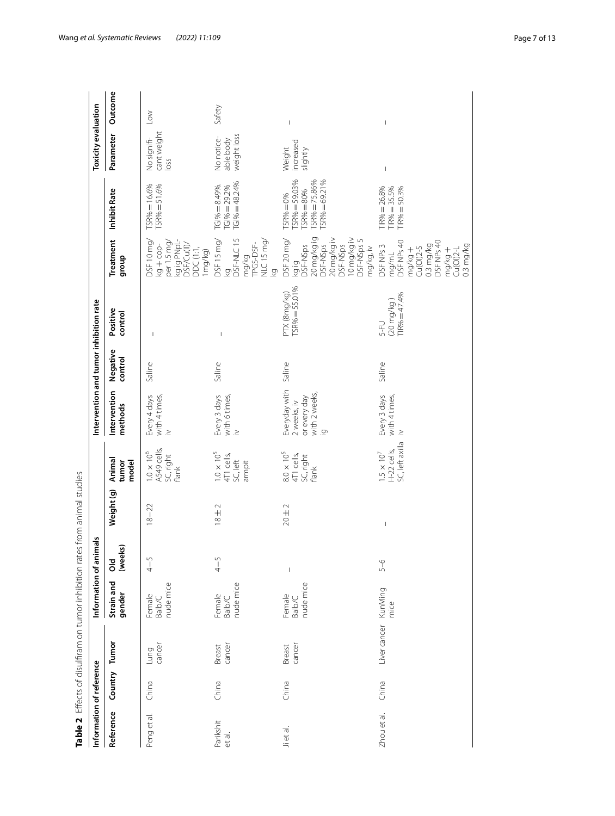<span id="page-6-0"></span>

| Information of reference |               | Table 2 Effects of disulfiram on tumor inhibition rates from animal studies | Information of animals               |                          |                                |                                                          | Intervention and tumor inhibition rate                                            |                     |                                                |                                                                                                                                  |                                                                                          | <b>Toxicity evaluation</b>             |                          |
|--------------------------|---------------|-----------------------------------------------------------------------------|--------------------------------------|--------------------------|--------------------------------|----------------------------------------------------------|-----------------------------------------------------------------------------------|---------------------|------------------------------------------------|----------------------------------------------------------------------------------------------------------------------------------|------------------------------------------------------------------------------------------|----------------------------------------|--------------------------|
| Reference                | Country Tumor |                                                                             | Strain and<br>gender                 | Old<br>(weeks)           | Weight (g)                     | Animal<br>tumor<br>model                                 | Intervention<br>methods                                                           | Negative<br>control | Positive<br>control                            | Treatment<br>group                                                                                                               | Inhibit Rate                                                                             | Parameter                              | Outcome                  |
| Penget al.               | China         | cancer<br>Lung                                                              | nude mice<br>Female<br><b>Balb/C</b> | $4 - 5$                  | $18 - 22$                      | $1.0 \times 10^{6}$<br>A549 cells,<br>SC, right<br>flank | Every 4 days<br>with 4 times,<br>$\geq$                                           | Saline              | $\mathsf I$                                    | kg ig PNpL-<br>DSF 10 mg/<br>per 1.5 mg<br>DSF/Cu(II)/<br>$kg + cop-$<br>DDC (1:1,<br>Img/kg)                                    | $ISR\% = 51.6\%$<br>$ISR% = 16.6%$                                                       | cant weight<br>No signifi-<br>loss     | $\geq$                   |
| Parikshit<br>et al.      | China         | cancer<br>Breast                                                            | nude mice<br>Female<br><b>Balb/C</b> | $4 - 5$                  | $18 \pm 2$                     | $1.0 \times 10^{5}$<br>4T1 cells,<br>SC, left<br>armpit  | Every 3 days<br>with 6 times,<br>$\geq$                                           | Saline              | $\overline{\phantom{a}}$                       | DSF15 mg/<br>DSF-NLC 15<br>NLC 15 mg/<br>mg/kg<br>TPGS-DSF-<br>Σò<br>Σò                                                          | $TCI\% = 48.24\%$<br>$IG1\% = 8.49\%$ .<br>$IG1\% = 29.2\%$                              | weight loss<br>No notice-<br>able body | Safety                   |
| Ji et al.                | China         | cancer<br>Breast                                                            | nude mice<br>Female<br><b>Balb/C</b> | $\overline{\phantom{a}}$ | $20 \pm 2$                     | $8.0 \times 10^{5}$<br>4T1 cells,<br>SC, right<br>flank  | Everyday with<br>with 2 weeks,<br>or every day<br>2 weeks, iv<br>$\overline{Q}$ . | Saline              | $TSR% = 55.01%$<br>PTX (8mg/kg)                | 20 mg/kg ig<br>DSF-NSps<br>20 mg/kg iv<br>i0 mg/kg iv<br>DSF-NSps 5<br>DSF 20 mg/<br>DSF-NSps<br>DSF-NSps<br>mg/kg, iv<br>kg ig  | $TSR% = 59.03%$<br>$TSR\% = 80\%$<br>$TSR\% = 75.86\%$<br>$TSR% = 69.21%$<br>$FSR% = 0%$ | increased<br>Weight<br>slightly        | $\mathsf I$              |
| Zhou et al.              | China         | Liver cancer KunMing                                                        | mice                                 | $5 - 6$                  | $\begin{array}{c} \end{array}$ | SC, left axilla<br>H-22 cells,<br>$1.5\times10^7$        | Every 3 days<br>with 4 times<br>$\geq$                                            | Saline              | $(20 \text{ mg/kg})$<br>TIR% = 47.4%<br>$5-FU$ | mg/mL<br>DSF NPs 40<br>DSF NPs 40<br>$0.3$ mg/kg<br>DSF NPs 3<br>$0.3$ mg/kg<br>$mg/kg +$<br>Cu(Ol)2-5<br>mg/kg +<br>$Cu(OI)2-L$ | $IR\% = 26.8\%$<br>$TIR% = 35.5%$<br>$TIR% = 50.3%$                                      | $\begin{array}{c} \end{array}$         | $\overline{\phantom{a}}$ |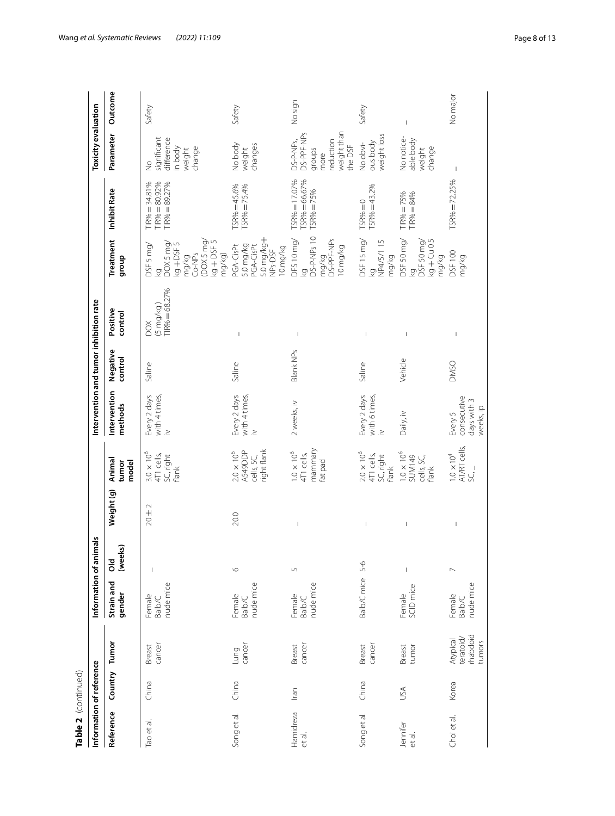| Table 2 (continued)      |               |                                             |                                      |                                                                                                                                                                                                                                                                                                                                                                                  |                                                                                                                                                                                                                                                                                                                                                                                  |                                                             |                                                    |                     |                                             |                                                                                                       |                                                                                                                 |                                                                                  |                          |
|--------------------------|---------------|---------------------------------------------|--------------------------------------|----------------------------------------------------------------------------------------------------------------------------------------------------------------------------------------------------------------------------------------------------------------------------------------------------------------------------------------------------------------------------------|----------------------------------------------------------------------------------------------------------------------------------------------------------------------------------------------------------------------------------------------------------------------------------------------------------------------------------------------------------------------------------|-------------------------------------------------------------|----------------------------------------------------|---------------------|---------------------------------------------|-------------------------------------------------------------------------------------------------------|-----------------------------------------------------------------------------------------------------------------|----------------------------------------------------------------------------------|--------------------------|
| Information of reference |               |                                             |                                      | Information of animals                                                                                                                                                                                                                                                                                                                                                           |                                                                                                                                                                                                                                                                                                                                                                                  |                                                             | Intervention and tumor inhibition rate             |                     |                                             |                                                                                                       |                                                                                                                 | Toxicity evaluation                                                              |                          |
| Reference                | Country Tumor |                                             | Strain and<br>gender                 | (weeks)<br>õб                                                                                                                                                                                                                                                                                                                                                                    | Weight (g)                                                                                                                                                                                                                                                                                                                                                                       | Animal<br>tumor<br>model                                    | Intervention<br>methods                            | Negative<br>control | Positive<br>control                         | Treatment<br>dnoub                                                                                    | <b>Inhibit Rate</b>                                                                                             | Parameter                                                                        | Outcome                  |
| Tao et al.               | China         | cancer<br>Breast                            | nude mice<br>Female<br><b>Balb/C</b> | $\begin{array}{c} \rule{0pt}{2.5ex} \rule{0pt}{2.5ex} \rule{0pt}{2.5ex} \rule{0pt}{2.5ex} \rule{0pt}{2.5ex} \rule{0pt}{2.5ex} \rule{0pt}{2.5ex} \rule{0pt}{2.5ex} \rule{0pt}{2.5ex} \rule{0pt}{2.5ex} \rule{0pt}{2.5ex} \rule{0pt}{2.5ex} \rule{0pt}{2.5ex} \rule{0pt}{2.5ex} \rule{0pt}{2.5ex} \rule{0pt}{2.5ex} \rule{0pt}{2.5ex} \rule{0pt}{2.5ex} \rule{0pt}{2.5ex} \rule{0$ | $\sim$<br>$20 \pm 7$                                                                                                                                                                                                                                                                                                                                                             | $3.0\times10^6$<br>4T1 cells,<br>SC, right<br>flank         | Every 2 days<br>with 4 times,<br>$\geq$            | Saline              | $TIR% = 68.27%$<br>$(5 \text{ mg/kg})$<br>ð | (DOX 5 mg/<br>$kg + DSF$ 5<br>kg<br>DOX 5 mg/<br>kg + DSF 5<br>DSF 5 mg/<br>mg/kg<br>Co-NPs<br>mg/kg) | $\begin{array}{l} \mathsf{TIR}\% = 34.81\% \\ \mathsf{TIR}\% = 80.92\% \\ \mathsf{TIR}\% = 89.27\% \end{array}$ | significant<br>difference<br>in body<br>change<br>weight<br>$\frac{1}{2}$        | Safety                   |
| Song et al.              | China         | cancer<br>Lung                              | nude mice<br>Female<br><b>Balb/C</b> | $\circ$                                                                                                                                                                                                                                                                                                                                                                          | 20.0                                                                                                                                                                                                                                                                                                                                                                             | right flank<br>$2.0 \times 10^{6}$<br>A549DDP<br>cells, SC, | Every 2 days<br>with 4 times,<br>$\geq$            | Saline              | $\overline{1}$                              | 5.0 mg/kg+<br>5.0 mg/kg<br>PGA-CisPt<br>PGA-CisPt<br>10.mg/kg<br>NPs-DSF                              | $ISR\% = 45.6\%$<br>$TSR% = 75.4%$                                                                              | No body<br>weight<br>changes                                                     | Safety                   |
| Hamidreza<br>et al.      | Iran          | cancer<br>Breast                            | nude mice<br>Female<br><b>Balb/C</b> | 5                                                                                                                                                                                                                                                                                                                                                                                | $\begin{array}{c} \end{array}$                                                                                                                                                                                                                                                                                                                                                   | mammary<br>$1.0\times10^6$<br>4T1 cells,<br>fat pad         | 2 weeks, iv                                        | <b>Blank NPs</b>    | $\overline{\phantom{a}}$                    | DS-P-NPs 10<br>mg/kg<br>DS-PPF-NPs<br>DFS 10 mg/<br>10 mg/kg<br>Σò                                    | $ISR\% = 66.67\%$<br>$TSR% = 17.07%$<br>TSR% = 75%                                                              | weight than<br>DS-PPF-NPs<br>reduction<br>DS-P-NPs,<br>the DSF<br>groups<br>more | No sign                  |
| Song et al.              | China         | cancer<br>Breast                            | Balb/C mice 5-6                      |                                                                                                                                                                                                                                                                                                                                                                                  | $\begin{array}{c} \rule{0pt}{2.5ex} \rule{0pt}{2.5ex} \rule{0pt}{2.5ex} \rule{0pt}{2.5ex} \rule{0pt}{2.5ex} \rule{0pt}{2.5ex} \rule{0pt}{2.5ex} \rule{0pt}{2.5ex} \rule{0pt}{2.5ex} \rule{0pt}{2.5ex} \rule{0pt}{2.5ex} \rule{0pt}{2.5ex} \rule{0pt}{2.5ex} \rule{0pt}{2.5ex} \rule{0pt}{2.5ex} \rule{0pt}{2.5ex} \rule{0pt}{2.5ex} \rule{0pt}{2.5ex} \rule{0pt}{2.5ex} \rule{0$ | $2.0 \times 10^6$<br>4T1 cells,<br>SC, right<br>flank       | Every 2 days<br>with 6 times,<br>$\geq$            | Saline              | $\overline{1}$                              | DSF 15 mg/<br>NP4/5/115<br>mg/kg<br>Σò                                                                | $TSR% = 43.2%$<br>$TSR% = 0$                                                                                    | weight loss<br>ous body<br>No obvi-                                              | Safety                   |
| Jennifer<br>et al.       | USA           | tumor<br>Breast                             | SCID mice<br>Female                  | $\overline{\phantom{a}}$                                                                                                                                                                                                                                                                                                                                                         | $\overline{\phantom{a}}$                                                                                                                                                                                                                                                                                                                                                         | $1.0 \times 10^6$<br><b>SUM149</b><br>cells, SC,<br>flank   | Daily, iv                                          | Vehicle             | $\overline{\phantom{a}}$                    | DSF 50 mg/<br>$kg + Cu 0.5$<br>kg<br>DSF 50 mg/<br>mg/kg                                              | $TIR% = 75%$<br>$IIR% = 84%$                                                                                    | No notice-<br>able body<br>change<br>weight                                      | $\overline{\phantom{a}}$ |
| Choi et al.              | Korea         | rhabdoid<br>teratoid/<br>Atypical<br>tumors | nude mice<br>Female<br><b>Balb/C</b> | $\overline{\phantom{a}}$                                                                                                                                                                                                                                                                                                                                                         | $\begin{array}{c} \rule{0pt}{2.5ex} \rule{0pt}{2.5ex} \rule{0pt}{2.5ex} \rule{0pt}{2.5ex} \rule{0pt}{2.5ex} \rule{0pt}{2.5ex} \rule{0pt}{2.5ex} \rule{0pt}{2.5ex} \rule{0pt}{2.5ex} \rule{0pt}{2.5ex} \rule{0pt}{2.5ex} \rule{0pt}{2.5ex} \rule{0pt}{2.5ex} \rule{0pt}{2.5ex} \rule{0pt}{2.5ex} \rule{0pt}{2.5ex} \rule{0pt}{2.5ex} \rule{0pt}{2.5ex} \rule{0pt}{2.5ex} \rule{0$ | AT/RT cells,<br>$1.0 \times 10^{4}$<br>$SC_{1}$             | consecutive<br>days with 3<br>weeks, ip<br>Every 5 | <b>DMSO</b>         | $\begin{array}{c} \end{array}$              | <b>DSF100</b><br>mg/kg                                                                                | $TSR% = 72.25%$                                                                                                 | $\,$ $\,$                                                                        | No major                 |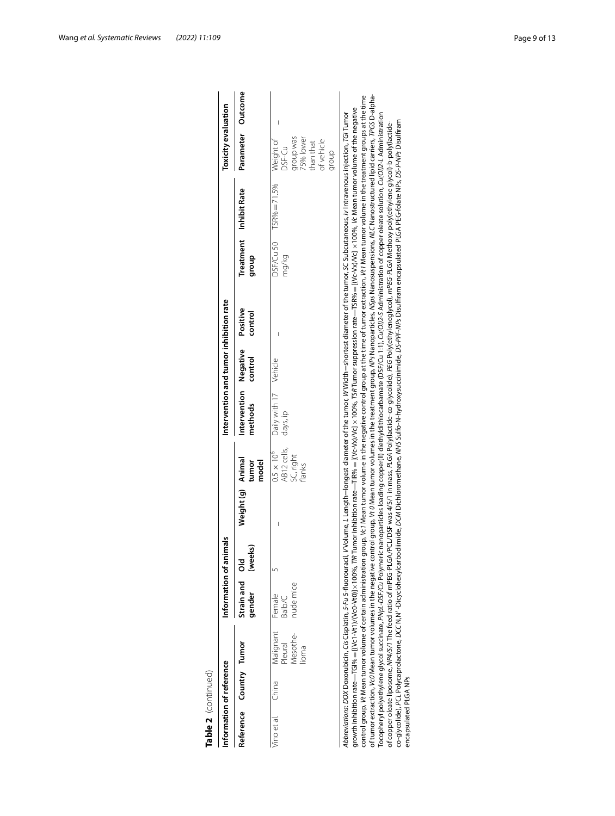| Table 2 (continued)     |                          |                                           |                                                                     |                        |            |                                                         |                                        |                     |                     |                           |                                                                                                                                                                                                                                                                                                                                                                                                                                                                                                                                                                                                                                                                                                                                                                                                                                                                                                                                                                                                                                                                                                                                                                                                                                                                                                                                                                                                                                                               |                                                                                          |         |
|-------------------------|--------------------------|-------------------------------------------|---------------------------------------------------------------------|------------------------|------------|---------------------------------------------------------|----------------------------------------|---------------------|---------------------|---------------------------|---------------------------------------------------------------------------------------------------------------------------------------------------------------------------------------------------------------------------------------------------------------------------------------------------------------------------------------------------------------------------------------------------------------------------------------------------------------------------------------------------------------------------------------------------------------------------------------------------------------------------------------------------------------------------------------------------------------------------------------------------------------------------------------------------------------------------------------------------------------------------------------------------------------------------------------------------------------------------------------------------------------------------------------------------------------------------------------------------------------------------------------------------------------------------------------------------------------------------------------------------------------------------------------------------------------------------------------------------------------------------------------------------------------------------------------------------------------|------------------------------------------------------------------------------------------|---------|
|                         | Information of reference |                                           |                                                                     | Information of animals |            |                                                         | Intervention and tumor inhibition rate |                     |                     |                           |                                                                                                                                                                                                                                                                                                                                                                                                                                                                                                                                                                                                                                                                                                                                                                                                                                                                                                                                                                                                                                                                                                                                                                                                                                                                                                                                                                                                                                                               | <b>Toxicity evaluation</b>                                                               |         |
| Reference Country Tumor |                          |                                           | Strain and<br>gender                                                | (weeks)<br>ᅙ           | Weight (g) | Animal<br>model<br>tumor                                | Intervention<br>methods                | Negative<br>control | Positive<br>control | <b>Treatment</b><br>dhoub | Inhibit Rate                                                                                                                                                                                                                                                                                                                                                                                                                                                                                                                                                                                                                                                                                                                                                                                                                                                                                                                                                                                                                                                                                                                                                                                                                                                                                                                                                                                                                                                  | Parameter                                                                                | Outcome |
| /ino et al.             | China                    | Malignant<br>Mesothe-<br>Pleural<br>lioma | nude mice<br>Female<br>Balb/C                                       |                        | Ï          | AB12 cells,<br>$0.5 \times 10^6$<br>SC, right<br>flanks | Daily with 17<br>days, ip              | Vehicle             |                     | DSF/Cu 50<br>mg/kg        | $TSR% = 71.5%$                                                                                                                                                                                                                                                                                                                                                                                                                                                                                                                                                                                                                                                                                                                                                                                                                                                                                                                                                                                                                                                                                                                                                                                                                                                                                                                                                                                                                                                | group was<br>75% lower<br>Weight of<br>of vehicle<br>than that<br><b>DSF-Cu</b><br>diorb |         |
| encapsulated PLGA NPs   |                          |                                           | Abbreviations: DOX Doxorubicin, Cis Cisplatin, 5-Fu 5-fluorouracil, |                        |            |                                                         |                                        |                     |                     |                           | of tumor extraction, Vc0 Mean tumor volumes in the negative control group, IV 0 Mean tumor volumes in the treatment group, NPs Nanoparticles, NSps Nanosuspensions, NLC Nanostructured lipid carriers, IPGS D-alpha-<br>control group, Vt Mean tumor volume of certain administration group, Vc1 Mean tumor volume in the negative control group at the time of tumor extraction, Vt1 Mean tumor volume in the treatment groups at the time<br>growth inhibition rate—TGI%= [[Vc1-Vt1)/(Vc0-Vt0)]x 100%, T/R Tumor inhibition rate—TR% = [(Vc-Vx)/Vc] x 100%, TSR Tumor suppression rate—TSR% = [(Vc-Vx)/Vc] x 100%, Yc Mean tumor volume of the negative<br>V Volume, L Length=longest diameter of the tumor, W Width=shortest diameter of the tumor, SC Subcutaneous, iv Intravenous injection, TG/Tumor<br>Tocopheryl polyethylene glycol succinate, PNpL-DSF/Cu Polymeric nanoparticles loading copper(ll) diethyldithiocarbamate (DSF/Cu1:1), Cu(Ol)2-S Administration of copper oleate solution, Cu(Ol)2-L Administration<br>co-glycolide), PCL Polycaprolactone, DCC(N,N'-DiOydohexylcarbodiimide, DCM Dichloromethane, MHS Sulfic-N-hydroxysuccinimide, DS-PPFF-NPs Disulfiram encapsulated PLGA PEG-folate NPs, DS-P-NPs Disulfiram<br>of copper oleate liposome, NP4/5/1 The feed ratio of mPEG-PLGA/PCL/DSF was 4/5/1 in mass, PLGA Poly(lete)-RG-eo-glycelide), PEG Poly(ethyleneglycol), mPEG-PLGA Methoxy poly(ethylene glycol)-b-poly(lactide- |                                                                                          |         |

| lange are a langth=longest diameter of the tumor, W Midth=shortest diameter of the tumor, SC Subcutaneous, iv Intravenous injection, TG/Tumor /<br>oreviations: DOX Doxorubicin, Cis Cisplatin, 5-Fu 5-fluorouracil, V |
|------------------------------------------------------------------------------------------------------------------------------------------------------------------------------------------------------------------------|
| wth inhibition rate—TGI%=[(Vc1-Vt1)/(Vc0-Vt0)]x100%, TIR Tumor inhibition rate—TR%=[(Vc-Vx)/Vc] x 100%, TSR Tumor suppression rate—TSR%=[(Vc-Vx)/Vc] x 100%, Yc Mean tumor volume of the neqative                      |
| trol group, Vt Mean tumor volume of certain administration group, Vc1 Mean tumor volume in the negative control group at the time of tumor extraction, Vt1 Mean tumor volume in the treatment groups at the time       |
| umor extraction, Vc0 Mean tumor volumes in the negative control group, Vt 0 Mean tumor volumes in the treatment group, NSPs Nanosuspensions, NLC Nanostructured lipid carriers, TPGS D-alpha-                          |
| copheryl polyethylene glycol succinate, PNpL-DSF/Cu Polymeric nanoparticles loading copper(ll) diethyldithiocarbamate (DSF/Cu 1:1), Cu(Ol)2-3 Administration of copper oleate solution, Cu(Ol)2-L Administration       |
| opper oleate liposome, NP4/5/1 The feed ratio of mPEG-PLGA/PCL/DSF was 4/5/1 in mass, PLGA Poly(lactide-co-glycoliy/ethyleneglycol), <i>mPEG-PLGA</i> Methoxy poly(ethylene glycol)-b-poly(lactide-                    |
| cultely. PCL Polycaprolactone, DCC N.N' -Dicyclohexylcarbodiimide, DCM Dichloromethane, MHS Sulfo-N-hydroxysuccinimide, DS-PPF-NPs Disulfiram encapsulated PLGA PEG-folate NPs, DS-P-NPs Disulfiram                    |
| capsulated PLGA NPs                                                                                                                                                                                                    |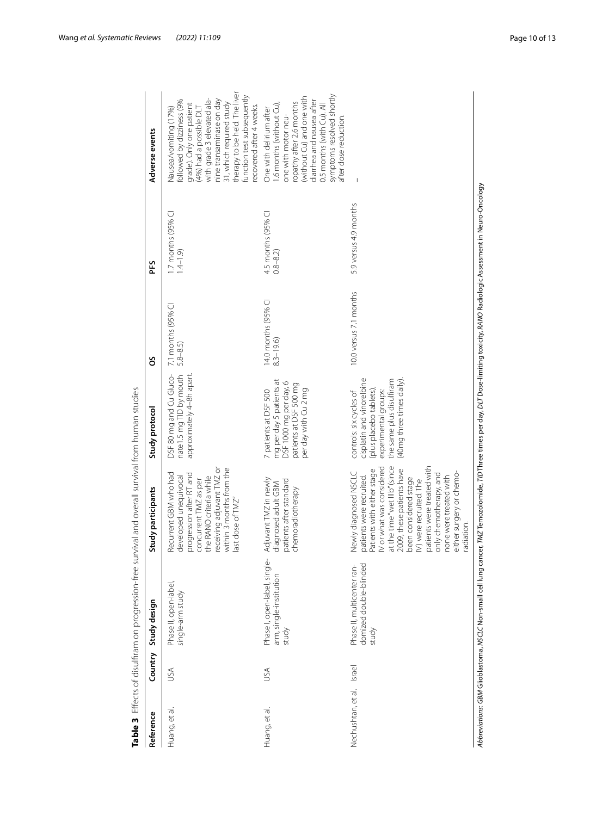| Reference          | Country | Study design                                                     | Study participants                                                                                                                                                                                                                                                                                                                                         | Study protocol                                                                                                                                                 | SO                                  | ΡFS                               | Adverse events                                                                                                                                                                                                                                                                             |
|--------------------|---------|------------------------------------------------------------------|------------------------------------------------------------------------------------------------------------------------------------------------------------------------------------------------------------------------------------------------------------------------------------------------------------------------------------------------------------|----------------------------------------------------------------------------------------------------------------------------------------------------------------|-------------------------------------|-----------------------------------|--------------------------------------------------------------------------------------------------------------------------------------------------------------------------------------------------------------------------------------------------------------------------------------------|
| Huang, et al.      | SÁ      | Phase II, open-label,<br>single-arm study                        | receiving adjuvant TMZ or<br>within 3 months from the<br>Recurrent GBM who had<br>progression after RT and<br>the RANO criteria while<br>developed unequivocal<br>concurrent TMZ as per<br>last dose of TMZ"                                                                                                                                               | DSF 80 mg and Cu Gluco-<br>nate1.5 mg TID by mouth<br>approximately 4-8h apart                                                                                 | 7.1 months (95% CI<br>$5.8 - 8.5$   | 1.7 months (95% CI<br>$1.4 - 1.9$ | therapy to be held. The liver<br>function test subsequently<br>with grade 3 elevated ala-<br>nine transaminase on day<br>followed by dizziness (9%<br>31, which required study<br>grade). Only one patient<br>recovered after 4 weeks.<br>Nausea/vomiting (17%)<br>(4%) had a possible DLT |
| Huang, et al.      | JSA     | Phase I, open-label, single-<br>arm, single-institution<br>study | Adjuvant TMZ in newly<br>patients after standard<br>diagnosed adult GBM<br>chemoradiotherapy                                                                                                                                                                                                                                                               | mg per day 5 patients at<br>DSF 1000 mg per day, 6<br>patients at DSF 500 mg<br>per day with Cu 2 mg<br>7 patients at DSF 500                                  | 14.0 months (95% CI<br>$8.3 - 19.6$ | 4.5 months (95% CI<br>$0.8 - 8.2$ | symptoms resolved shortly<br>(without Cu) and one with<br>diarrhea and nausea after<br>ropathy after 2.6 months<br>.6 months (without Cu),<br>0.5 months (with Cu). All<br>One with delirium after<br>one with motor neu-<br>after dose reduction                                          |
| Nechushtan, et al. | Israel  | domized double-blinded<br>Phase II, multicenter ran-<br>study    | patients were treated with<br>at the time "wet IIIb" (since<br>IV or what was considered<br>2009, these patients have<br>Patients with either stage<br>Newly diagnosed NSCLC<br>either surgery or chemo-<br>only chemotherapy, and<br>none were treated with<br>patients were recruited.<br>been considered stage<br>IV) were recruited. The<br>radiation. | cisplatin and vinorelbine<br>the same plus disulfiram<br>(40mg three times daily)<br>(plus placebo tablets)<br>experimental groups:<br>controls: six cycles of | 10.0 versus 7.1 months              | 5.9 versus 4.9 months             |                                                                                                                                                                                                                                                                                            |

<span id="page-9-0"></span>

Wang *et al. Systematic Reviews (2022) 11:109* Page 10 of 13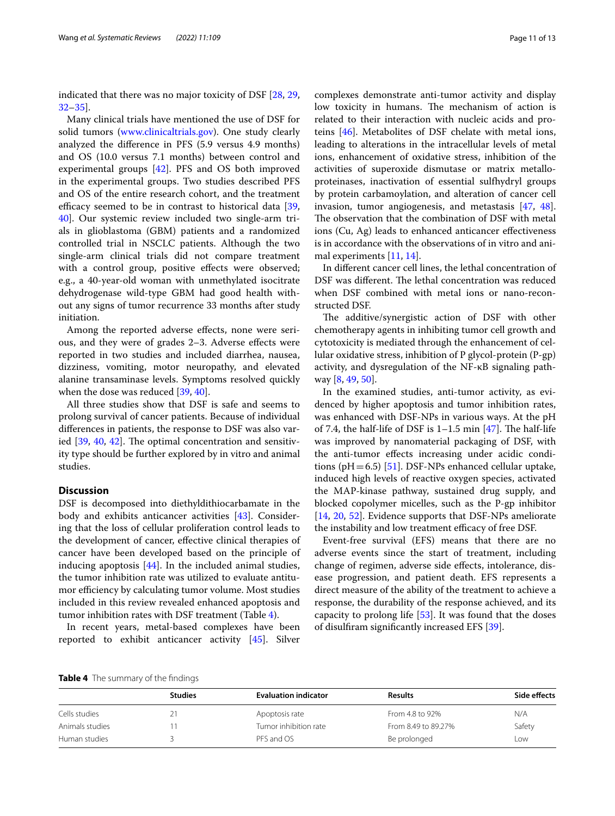indicated that there was no major toxicity of DSF [[28,](#page-12-6) [29](#page-12-11), [32–](#page-12-13)[35](#page-12-16)].

Many clinical trials have mentioned the use of DSF for solid tumors ([www.clinicaltrials.gov\)](http://www.clinicaltrials.gov). One study clearly analyzed the diference in PFS (5.9 versus 4.9 months) and OS (10.0 versus 7.1 months) between control and experimental groups [[42\]](#page-12-20). PFS and OS both improved in the experimental groups. Two studies described PFS and OS of the entire research cohort, and the treatment efficacy seemed to be in contrast to historical data  $[39, 10]$  $[39, 10]$ [40\]](#page-12-19). Our systemic review included two single-arm trials in glioblastoma (GBM) patients and a randomized controlled trial in NSCLC patients. Although the two single-arm clinical trials did not compare treatment with a control group, positive effects were observed; e.g., a 40-year-old woman with unmethylated isocitrate dehydrogenase wild-type GBM had good health without any signs of tumor recurrence 33 months after study initiation.

Among the reported adverse efects, none were serious, and they were of grades 2–3. Adverse efects were reported in two studies and included diarrhea, nausea, dizziness, vomiting, motor neuropathy, and elevated alanine transaminase levels. Symptoms resolved quickly when the dose was reduced [\[39,](#page-12-17) [40](#page-12-19)].

All three studies show that DSF is safe and seems to prolong survival of cancer patients. Because of individual diferences in patients, the response to DSF was also varied  $[39, 40, 42]$  $[39, 40, 42]$  $[39, 40, 42]$  $[39, 40, 42]$  $[39, 40, 42]$  $[39, 40, 42]$ . The optimal concentration and sensitivity type should be further explored by in vitro and animal studies.

# **Discussion**

DSF is decomposed into diethyldithiocarbamate in the body and exhibits anticancer activities [\[43\]](#page-12-24). Considering that the loss of cellular proliferation control leads to the development of cancer, efective clinical therapies of cancer have been developed based on the principle of inducing apoptosis [[44\]](#page-12-25). In the included animal studies, the tumor inhibition rate was utilized to evaluate antitumor efficiency by calculating tumor volume. Most studies included in this review revealed enhanced apoptosis and tumor inhibition rates with DSF treatment (Table [4](#page-10-0)).

In recent years, metal-based complexes have been reported to exhibit anticancer activity [\[45](#page-12-26)]. Silver complexes demonstrate anti-tumor activity and display low toxicity in humans. The mechanism of action is related to their interaction with nucleic acids and proteins [\[46](#page-12-27)]. Metabolites of DSF chelate with metal ions, leading to alterations in the intracellular levels of metal ions, enhancement of oxidative stress, inhibition of the activities of superoxide dismutase or matrix metalloproteinases, inactivation of essential sulfhydryl groups by protein carbamoylation, and alteration of cancer cell invasion, tumor angiogenesis, and metastasis [\[47](#page-12-28), [48](#page-12-29)]. The observation that the combination of DSF with metal ions (Cu, Ag) leads to enhanced anticancer efectiveness is in accordance with the observations of in vitro and animal experiments [\[11](#page-11-11), [14\]](#page-11-14).

In diferent cancer cell lines, the lethal concentration of DSF was different. The lethal concentration was reduced when DSF combined with metal ions or nano-reconstructed DSF.

The additive/synergistic action of DSF with other chemotherapy agents in inhibiting tumor cell growth and cytotoxicity is mediated through the enhancement of cellular oxidative stress, inhibition of P glycol-protein (P-gp) activity, and dysregulation of the NF-κB signaling pathway [\[8,](#page-11-8) [49](#page-12-30), [50\]](#page-12-31).

In the examined studies, anti-tumor activity, as evidenced by higher apoptosis and tumor inhibition rates, was enhanced with DSF-NPs in various ways. At the pH of 7.4, the half-life of DSF is  $1-1.5$  min [[47\]](#page-12-28). The half-life was improved by nanomaterial packaging of DSF, with the anti-tumor efects increasing under acidic conditions ( $pH$  = 6.5) [\[51\]](#page-12-32). DSF-NPs enhanced cellular uptake, induced high levels of reactive oxygen species, activated the MAP-kinase pathway, sustained drug supply, and blocked copolymer micelles, such as the P-gp inhibitor [[14,](#page-11-14) [20,](#page-12-3) [52](#page-12-33)]. Evidence supports that DSF-NPs ameliorate the instability and low treatment efficacy of free DSF.

Event-free survival (EFS) means that there are no adverse events since the start of treatment, including change of regimen, adverse side efects, intolerance, disease progression, and patient death. EFS represents a direct measure of the ability of the treatment to achieve a response, the durability of the response achieved, and its capacity to prolong life [[53\]](#page-12-34). It was found that the doses of disulfram signifcantly increased EFS [\[39](#page-12-17)].

<span id="page-10-0"></span>**Table 4** The summary of the fndings

|                 | <b>Studies</b> | <b>Evaluation indicator</b> | <b>Results</b>      | Side effects |
|-----------------|----------------|-----------------------------|---------------------|--------------|
| Cells studies   | 21             | Apoptosis rate              | From 4.8 to 92%     | N/A          |
| Animals studies |                | Tumor inhibition rate       | From 8.49 to 89.27% | Safety       |
| Human studies   |                | PFS and OS                  | Be prolonged        | Low          |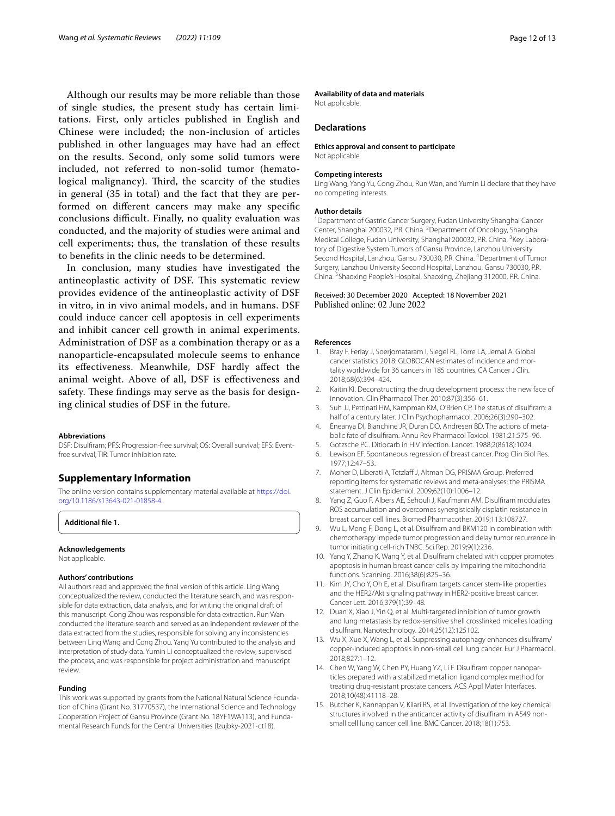Although our results may be more reliable than those of single studies, the present study has certain limitations. First, only articles published in English and Chinese were included; the non-inclusion of articles published in other languages may have had an efect on the results. Second, only some solid tumors were included, not referred to non-solid tumor (hematological malignancy). Third, the scarcity of the studies in general (35 in total) and the fact that they are performed on diferent cancers may make any specifc conclusions difficult. Finally, no quality evaluation was conducted, and the majority of studies were animal and cell experiments; thus, the translation of these results to benefts in the clinic needs to be determined.

In conclusion, many studies have investigated the antineoplastic activity of DSF. This systematic review provides evidence of the antineoplastic activity of DSF in vitro, in in vivo animal models, and in humans. DSF could induce cancer cell apoptosis in cell experiments and inhibit cancer cell growth in animal experiments. Administration of DSF as a combination therapy or as a nanoparticle-encapsulated molecule seems to enhance its efectiveness. Meanwhile, DSF hardly afect the animal weight. Above of all, DSF is efectiveness and safety. These findings may serve as the basis for designing clinical studies of DSF in the future.

#### **Abbreviations**

DSF: Disulfram; PFS: Progression-free survival; OS: Overall survival; EFS: Eventfree survival; TIR: Tumor inhibition rate.

# **Supplementary Information**

The online version contains supplementary material available at [https://doi.](https://doi.org/10.1186/s13643-021-01858-4) [org/10.1186/s13643-021-01858-4](https://doi.org/10.1186/s13643-021-01858-4).

<span id="page-11-7"></span>**Additional fle 1.**

#### **Acknowledgements**

Not applicable.

#### **Authors' contributions**

All authors read and approved the fnal version of this article. Ling Wang conceptualized the review, conducted the literature search, and was responsible for data extraction, data analysis, and for writing the original draft of this manuscript. Cong Zhou was responsible for data extraction. Run Wan conducted the literature search and served as an independent reviewer of the data extracted from the studies, responsible for solving any inconsistencies between Ling Wang and Cong Zhou. Yang Yu contributed to the analysis and interpretation of study data. Yumin Li conceptualized the review, supervised the process, and was responsible for project administration and manuscript review.

#### **Funding**

This work was supported by grants from the National Natural Science Foundation of China (Grant No. 31770537), the International Science and Technology Cooperation Project of Gansu Province (Grant No. 18YF1WA113), and Fundamental Research Funds for the Central Universities (lzujbky-2021-ct18).

# **Availability of data and materials**

Not applicable.

# **Declarations**

#### **Ethics approval and consent to participate**

Not applicable.

#### **Competing interests**

Ling Wang, Yang Yu, Cong Zhou, Run Wan, and Yumin Li declare that they have no competing interests.

#### **Author details**

<sup>1</sup> Department of Gastric Cancer Surgery, Fudan University Shanghai Cancer Center, Shanghai 200032, P.R. China. <sup>2</sup> Department of Oncology, Shanghai Medical College, Fudan University, Shanghai 200032, P.R. China. <sup>3</sup>Key Laboratory of Digestive System Tumors of Gansu Province, Lanzhou University Second Hospital, Lanzhou, Gansu 730030, P.R. China. <sup>4</sup> Department of Tumor Surgery, Lanzhou University Second Hospital, Lanzhou, Gansu 730030, P.R. China. <sup>5</sup> Shaoxing People's Hospital, Shaoxing, Zhejiang 312000, P.R. China.

# Received: 30 December 2020 Accepted: 18 November 2021

#### **References**

- <span id="page-11-0"></span>1. Bray F, Ferlay J, Soerjomataram I, Siegel RL, Torre LA, Jemal A. Global cancer statistics 2018: GLOBOCAN estimates of incidence and mortality worldwide for 36 cancers in 185 countries. CA Cancer J Clin. 2018;68(6):394–424.
- <span id="page-11-1"></span>2. Kaitin KI. Deconstructing the drug development process: the new face of innovation. Clin Pharmacol Ther. 2010;87(3):356–61.
- <span id="page-11-2"></span>3. Suh JJ, Pettinati HM, Kampman KM, O'Brien CP. The status of disulfram: a half of a century later. J Clin Psychopharmacol. 2006;26(3):290–302.
- <span id="page-11-3"></span>4. Eneanya DI, Bianchine JR, Duran DO, Andresen BD. The actions of metabolic fate of disulfram. Annu Rev Pharmacol Toxicol. 1981;21:575–96.
- <span id="page-11-4"></span>5. Gotzsche PC. Ditiocarb in HIV infection. Lancet. 1988;2(8618):1024.
- <span id="page-11-5"></span>6. Lewison EF. Spontaneous regression of breast cancer. Prog Clin Biol Res. 1977;12:47–53.
- <span id="page-11-6"></span>7. Moher D, Liberati A, Tetzlaff J, Altman DG, PRISMA Group. Preferred reporting items for systematic reviews and meta-analyses: the PRISMA statement. J Clin Epidemiol. 2009;62(10):1006–12.
- <span id="page-11-8"></span>8. Yang Z, Guo F, Albers AE, Sehouli J, Kaufmann AM. Disulfram modulates ROS accumulation and overcomes synergistically cisplatin resistance in breast cancer cell lines. Biomed Pharmacother. 2019;113:108727.
- 9. Wu L, Meng F, Dong L, et al. Disulfram and BKM120 in combination with chemotherapy impede tumor progression and delay tumor recurrence in tumor initiating cell-rich TNBC. Sci Rep. 2019;9(1):236.
- <span id="page-11-13"></span>10. Yang Y, Zhang K, Wang Y, et al. Disulfram chelated with copper promotes apoptosis in human breast cancer cells by impairing the mitochondria functions. Scanning. 2016;38(6):825–36.
- <span id="page-11-11"></span>11. Kim JY, Cho Y, Oh E, et al. Disulfram targets cancer stem-like properties and the HER2/Akt signaling pathway in HER2-positive breast cancer. Cancer Lett. 2016;379(1):39–48.
- <span id="page-11-9"></span>12. Duan X, Xiao J, Yin Q, et al. Multi-targeted inhibition of tumor growth and lung metastasis by redox-sensitive shell crosslinked micelles loading disulfram. Nanotechnology. 2014;25(12):125102.
- <span id="page-11-10"></span>13. Wu X, Xue X, Wang L, et al. Suppressing autophagy enhances disulfram/ copper-induced apoptosis in non-small cell lung cancer. Eur J Pharmacol. 2018;827:1–12.
- <span id="page-11-14"></span>14. Chen W, Yang W, Chen PY, Huang YZ, Li F. Disulfram copper nanoparticles prepared with a stabilized metal ion ligand complex method for treating drug-resistant prostate cancers. ACS Appl Mater Interfaces. 2018;10(48):41118–28.
- <span id="page-11-12"></span>15. Butcher K, Kannappan V, Kilari RS, et al. Investigation of the key chemical structures involved in the anticancer activity of disulfram in A549 nonsmall cell lung cancer cell line. BMC Cancer. 2018;18(1):753.